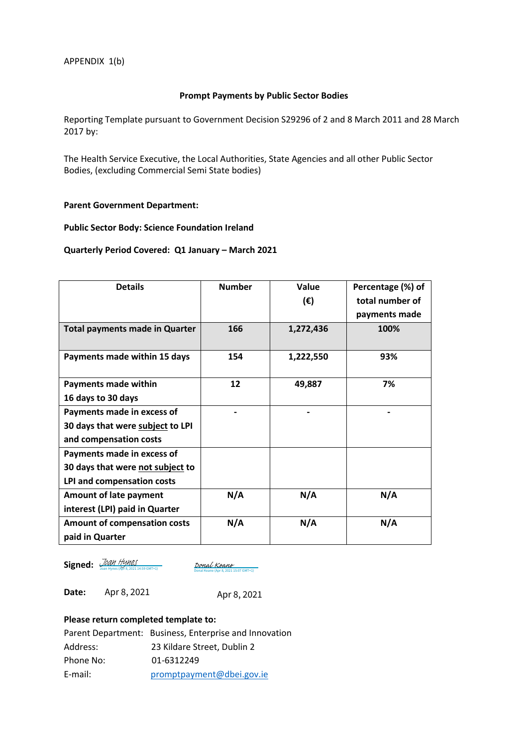#### **Prompt Payments by Public Sector Bodies**

Reporting Template pursuant to Government Decision S29296 of 2 and 8 March 2011 and 28 March 2017 by:

The Health Service Executive, the Local Authorities, State Agencies and all other Public Sector Bodies, (excluding Commercial Semi State bodies)

#### **Parent Government Department:**

### **Public Sector Body: Science Foundation Ireland**

#### **Quarterly Period Covered: Q1 January – March 2021**

| <b>Details</b>                        | <b>Number</b> | Value        | Percentage (%) of |
|---------------------------------------|---------------|--------------|-------------------|
|                                       |               | $(\epsilon)$ | total number of   |
|                                       |               |              | payments made     |
| <b>Total payments made in Quarter</b> | 166           | 1,272,436    | 100%              |
| Payments made within 15 days          | 154           | 1,222,550    | 93%               |
| <b>Payments made within</b>           | 12            | 49,887       | 7%                |
| 16 days to 30 days                    |               |              |                   |
| Payments made in excess of            |               |              |                   |
| 30 days that were subject to LPI      |               |              |                   |
| and compensation costs                |               |              |                   |
| Payments made in excess of            |               |              |                   |
| 30 days that were not subject to      |               |              |                   |
| LPI and compensation costs            |               |              |                   |
| <b>Amount of late payment</b>         | N/A           | N/A          | N/A               |
| interest (LPI) paid in Quarter        |               |              |                   |
| <b>Amount of compensation costs</b>   | N/A           | N/A          | N/A               |
| paid in Quarter                       |               |              |                   |

**Signed:** *[Joan Hynes](https://sciencefoundationireland.eu1.echosign.com/verifier?tx=CBJCHBCAABAAnUTMFxo5RFB8e-r7O2K6772rZ1g32jCY)* (Apr 8, 2021 14:59 GMT+1)

[Donal Keane](https://eu1.documents.adobe.com/verifier?tx=CBJCHBCAABAAnUTMFxo5RFB8e-r7O2K6772rZ1g32jCY)<br>Donal Keane (Apr 8, 2021 15:07 GMT+1)

**Date:**  Apr 8, 2021

Apr 8, 2021

## **Please return completed template to:**

|           | Parent Department: Business, Enterprise and Innovation |
|-----------|--------------------------------------------------------|
| Address:  | 23 Kildare Street. Dublin 2                            |
| Phone No: | 01-6312249                                             |
| E-mail:   | promptpayment@dbei.gov.ie                              |